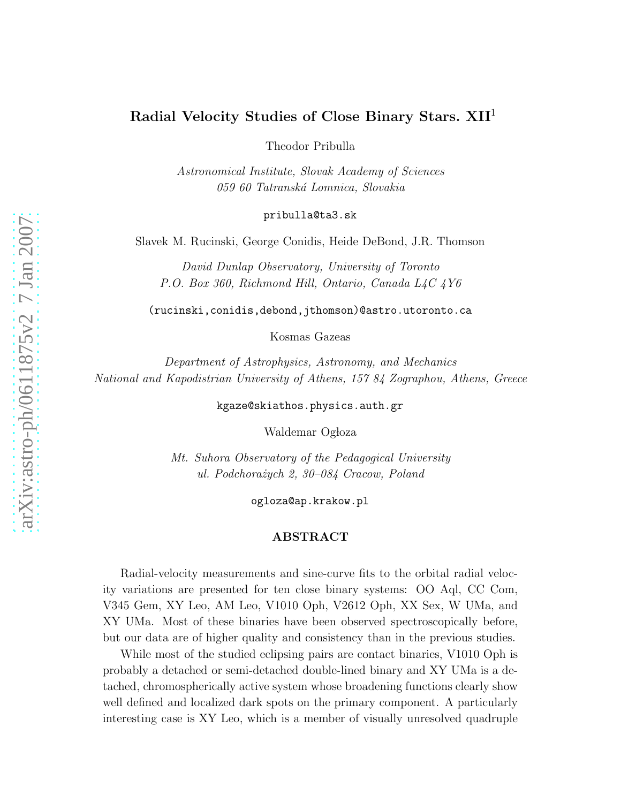# Radial Velocity Studies of Close Binary Stars. XII<sup>1</sup>

Theodor Pribulla

*Astronomical Institute, Slovak Academy of Sciences 059 60 Tatransk´a Lomnica, Slovakia*

pribulla@ta3.sk

Slavek M. Rucinski, George Conidis, Heide DeBond, J.R. Thomson

*David Dunlap Observatory, University of Toronto P.O. Box 360, Richmond Hill, Ontario, Canada L4C 4Y6*

(rucinski,conidis,debond,jthomson)@astro.utoronto.ca

Kosmas Gazeas

*Department of Astrophysics, Astronomy, and Mechanics National and Kapodistrian University of Athens, 157 84 Zographou, Athens, Greece*

kgaze@skiathos.physics.auth.gr

Waldemar Ogłoza

*Mt. Suhora Observatory of the Pedagogical University ul. Podchora˙zych 2, 30–084 Cracow, Poland*

ogloza@ap.krakow.pl

# ABSTRACT

Radial-velocity measurements and sine-curve fits to the orbital radial velocity variations are presented for ten close binary systems: OO Aql, CC Com, V345 Gem, XY Leo, AM Leo, V1010 Oph, V2612 Oph, XX Sex, W UMa, and XY UMa. Most of these binaries have been observed spectroscopically before, but our data are of higher quality and consistency than in the previous studies.

While most of the studied eclipsing pairs are contact binaries, V1010 Oph is probably a detached or semi-detached double-lined binary and XY UMa is a detached, chromospherically active system whose broadening functions clearly show well defined and localized dark spots on the primary component. A particularly interesting case is XY Leo, which is a member of visually unresolved quadruple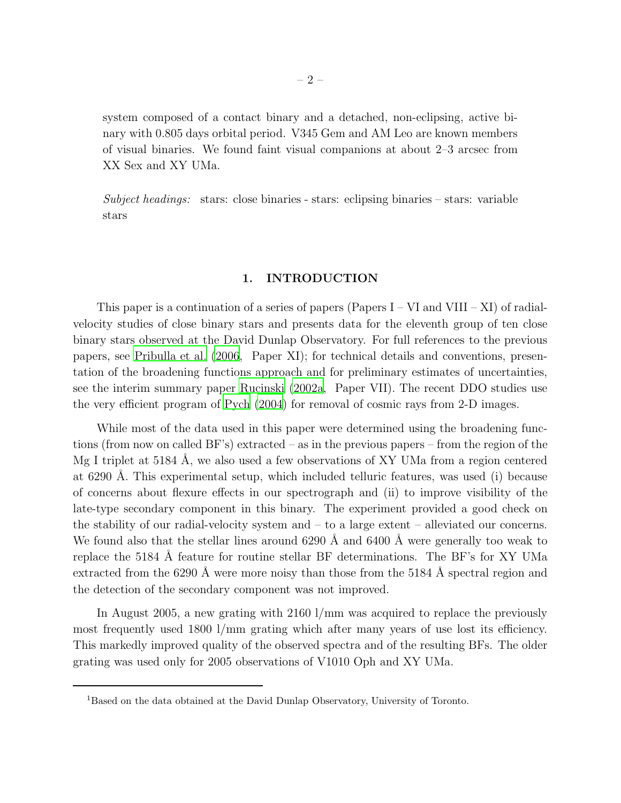system composed of a contact binary and a detached, non-eclipsing, active binary with 0.805 days orbital period. V345 Gem and AM Leo are known members of visual binaries. We found faint visual companions at about 2–3 arcsec from XX Sex and XY UMa.

*Subject headings:* stars: close binaries - stars: eclipsing binaries – stars: variable stars

# 1. INTRODUCTION

This paper is a continuation of a series of papers (Papers  $I - VI$  and  $VIII - XI$ ) of radialvelocity studies of close binary stars and presents data for the eleventh group of ten close binary stars observed at the David Dunlap Observatory. For full references to the previous papers, see [Pribulla et al.](#page-16-0) [\(2006](#page-16-0), Paper XI); for technical details and conventions, presentation of the broadening functions approach and for preliminary estimates of uncertainties, see the interim summary paper [Rucinski](#page-17-0) [\(2002a,](#page-17-0) Paper VII). The recent DDO studies use the very efficient program of [Pych \(2004\)](#page-16-1) for removal of cosmic rays from 2-D images.

While most of the data used in this paper were determined using the broadening functions (from now on called BF's) extracted – as in the previous papers – from the region of the Mg I triplet at  $5184 \text{ Å}$ , we also used a few observations of XY UMa from a region centered at 6290 Å. This experimental setup, which included telluric features, was used (i) because of concerns about flexure effects in our spectrograph and (ii) to improve visibility of the late-type secondary component in this binary. The experiment provided a good check on the stability of our radial-velocity system and – to a large extent – alleviated our concerns. We found also that the stellar lines around  $6290 \text{ Å}$  and  $6400 \text{ Å}$  were generally too weak to replace the 5184 Å feature for routine stellar BF determinations. The BF's for XY UMa extracted from the 6290 Å were more noisy than those from the 5184 Å spectral region and the detection of the secondary component was not improved.

In August 2005, a new grating with 2160 l/mm was acquired to replace the previously most frequently used 1800 l/mm grating which after many years of use lost its efficiency. This markedly improved quality of the observed spectra and of the resulting BFs. The older grating was used only for 2005 observations of V1010 Oph and XY UMa.

<sup>1</sup>Based on the data obtained at the David Dunlap Observatory, University of Toronto.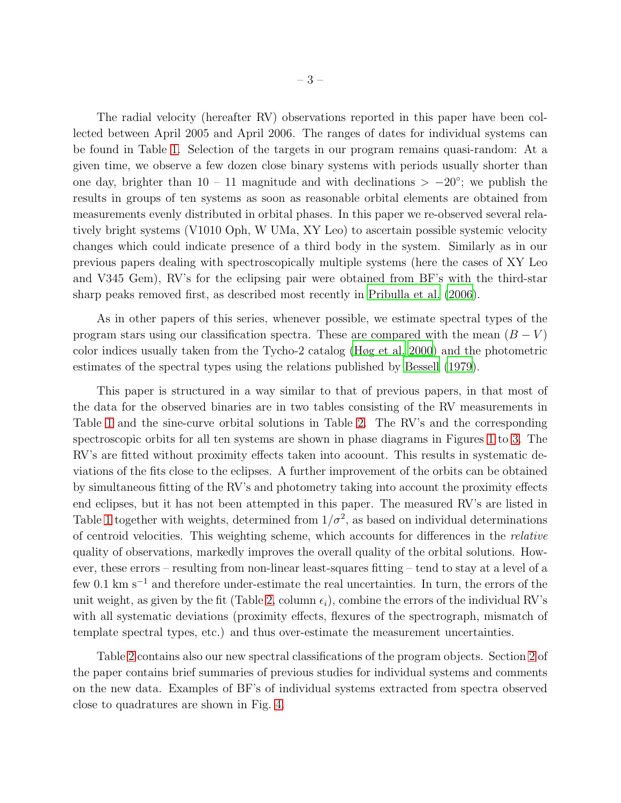The radial velocity (hereafter RV) observations reported in this paper have been collected between April 2005 and April 2006. The ranges of dates for individual systems can be found in Table [1.](#page-28-0) Selection of the targets in our program remains quasi-random: At a given time, we observe a few dozen close binary systems with periods usually shorter than one day, brighter than  $10 - 11$  magnitude and with declinations  $> -20°$ ; we publish the results in groups of ten systems as soon as reasonable orbital elements are obtained from measurements evenly distributed in orbital phases. In this paper we re-observed several relatively bright systems (V1010 Oph, W UMa, XY Leo) to ascertain possible systemic velocity changes which could indicate presence of a third body in the system. Similarly as in our previous papers dealing with spectroscopically multiple systems (here the cases of XY Leo and V345 Gem), RV's for the eclipsing pair were obtained from BF's with the third-star sharp peaks removed first, as described most recently in [Pribulla et al.](#page-16-0) [\(2006\)](#page-16-0).

As in other papers of this series, whenever possible, we estimate spectral types of the program stars using our classification spectra. These are compared with the mean  $(B - V)$ color indices usually taken from the Tycho-2 catalog [\(Høg et](#page-15-0) al. [2000\)](#page-15-0) and the photometric estimates of the spectral types using the relations published by [Bessell \(1979\)](#page-15-1).

This paper is structured in a way similar to that of previous papers, in that most of the data for the observed binaries are in two tables consisting of the RV measurements in Table [1](#page-28-0) and the sine-curve orbital solutions in Table [2.](#page-28-0) The RV's and the corresponding spectroscopic orbits for all ten systems are shown in phase diagrams in Figures [1](#page-18-0) to [3.](#page-18-1) The RV's are fitted without proximity effects taken into acoount. This results in systematic deviations of the fits close to the eclipses. A further improvement of the orbits can be obtained by simultaneous fitting of the RV's and photometry taking into account the proximity effects end eclipses, but it has not been attempted in this paper. The measured RV's are listed in Table [1](#page-28-0) together with weights, determined from  $1/\sigma^2$ , as based on individual determinations of centroid velocities. This weighting scheme, which accounts for differences in the *relative* quality of observations, markedly improves the overall quality of the orbital solutions. However, these errors – resulting from non-linear least-squares fitting – tend to stay at a level of a few 0.1 km s<sup>-1</sup> and therefore under-estimate the real uncertainties. In turn, the errors of the unit weight, as given by the fit (Table [2,](#page-28-0) column  $\epsilon_i$ ), combine the errors of the individual RV's with all systematic deviations (proximity effects, flexures of the spectrograph, mismatch of template spectral types, etc.) and thus over-estimate the measurement uncertainties.

Table [2](#page-28-0) contains also our new spectral classifications of the program objects. Section [2](#page-3-0) of the paper contains brief summaries of previous studies for individual systems and comments on the new data. Examples of BF's of individual systems extracted from spectra observed close to quadratures are shown in Fig. [4.](#page-18-2)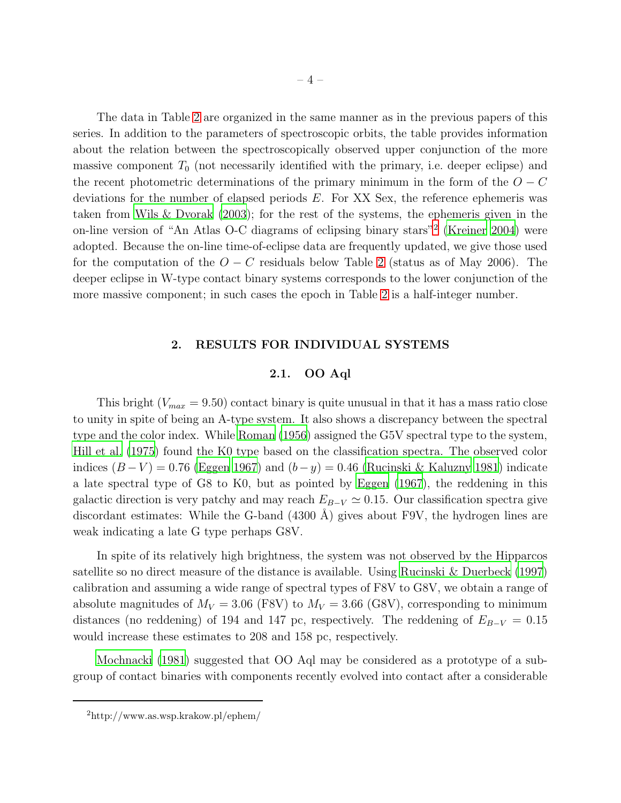The data in Table [2](#page-28-0) are organized in the same manner as in the previous papers of this series. In addition to the parameters of spectroscopic orbits, the table provides information about the relation between the spectroscopically observed upper conjunction of the more massive component  $T_0$  (not necessarily identified with the primary, i.e. deeper eclipse) and the recent photometric determinations of the primary minimum in the form of the  $O - C$ deviations for the number of elapsed periods E. For XX Sex, the reference ephemeris was taken from [Wils & Dvorak](#page-17-1) [\(2003](#page-17-1)); for the rest of the systems, the ephemeris given in the on-line version of "An Atlas O-C diagrams of eclipsing binary stars"[2](#page-17-2) [\(Kreiner 2004\)](#page-16-2) were adopted. Because the on-line time-of-eclipse data are frequently updated, we give those used for the computation of the  $O - C$  residuals below Table [2](#page-28-0) (status as of May 2006). The deeper eclipse in W-type contact binary systems corresponds to the lower conjunction of the more massive component; in such cases the epoch in Table [2](#page-28-0) is a half-integer number.

#### 2. RESULTS FOR INDIVIDUAL SYSTEMS

#### 2.1. OO Aql

<span id="page-3-0"></span>This bright  $(V_{max} = 9.50)$  contact binary is quite unusual in that it has a mass ratio close to unity in spite of being an A-type system. It also shows a discrepancy between the spectral type and the color index. While [Roman \(1956](#page-17-3)) assigned the G5V spectral type to the system, [Hill et al. \(1975\)](#page-15-2) found the K0 type based on the classification spectra. The observed color indices  $(B-V) = 0.76$  [\(Eggen 1967\)](#page-15-3) and  $(b-y) = 0.46$  [\(Rucinski & Kaluzny 1981\)](#page-17-4) indicate a late spectral type of G8 to K0, but as pointed by [Eggen \(1967\)](#page-15-3), the reddening in this galactic direction is very patchy and may reach  $E_{B-V} \simeq 0.15$ . Our classification spectra give discordant estimates: While the G-band  $(4300 \text{ Å})$  gives about F9V, the hydrogen lines are weak indicating a late G type perhaps G8V.

In spite of its relatively high brightness, the system was not observed by the Hipparcos satellite so no direct measure of the distance is available. Using [Rucinski & Duerbeck \(1997\)](#page-17-5) calibration and assuming a wide range of spectral types of F8V to G8V, we obtain a range of absolute magnitudes of  $M_V = 3.06$  (F8V) to  $M_V = 3.66$  (G8V), corresponding to minimum distances (no reddening) of 194 and 147 pc, respectively. The reddening of  $E_{B-V} = 0.15$ would increase these estimates to 208 and 158 pc, respectively.

[Mochnacki \(1981\)](#page-16-3) suggested that OO Aql may be considered as a prototype of a subgroup of contact binaries with components recently evolved into contact after a considerable

<sup>2</sup>http://www.as.wsp.krakow.pl/ephem/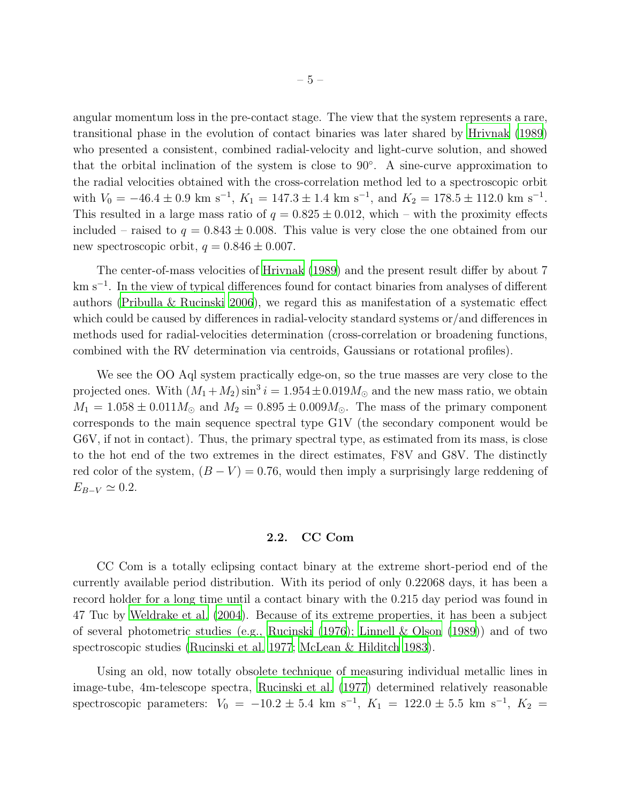angular momentum loss in the pre-contact stage. The view that the system represents a rare, transitional phase in the evolution of contact binaries was later shared by [Hrivnak \(1989\)](#page-15-4) who presented a consistent, combined radial-velocity and light-curve solution, and showed that the orbital inclination of the system is close to 90◦ . A sine-curve approximation to the radial velocities obtained with the cross-correlation method led to a spectroscopic orbit with  $V_0 = -46.4 \pm 0.9$  km s<sup>-1</sup>,  $K_1 = 147.3 \pm 1.4$  km s<sup>-1</sup>, and  $K_2 = 178.5 \pm 112.0$  km s<sup>-1</sup>. This resulted in a large mass ratio of  $q = 0.825 \pm 0.012$ , which – with the proximity effects included – raised to  $q = 0.843 \pm 0.008$ . This value is very close the one obtained from our new spectroscopic orbit,  $q = 0.846 \pm 0.007$ .

The center-of-mass velocities of [Hrivnak \(1989\)](#page-15-4) and the present result differ by about 7 km s<sup>−</sup><sup>1</sup> . In the view of typical differences found for contact binaries from analyses of different authors [\(Pribulla & Rucinski 2006\)](#page-16-4), we regard this as manifestation of a systematic effect which could be caused by differences in radial-velocity standard systems or/and differences in methods used for radial-velocities determination (cross-correlation or broadening functions, combined with the RV determination via centroids, Gaussians or rotational profiles).

We see the OO Aql system practically edge-on, so the true masses are very close to the projected ones. With  $(M_1 + M_2) \sin^3 i = 1.954 \pm 0.019 M_{\odot}$  and the new mass ratio, we obtain  $M_1 = 1.058 \pm 0.011 M_{\odot}$  and  $M_2 = 0.895 \pm 0.009 M_{\odot}$ . The mass of the primary component corresponds to the main sequence spectral type G1V (the secondary component would be G6V, if not in contact). Thus, the primary spectral type, as estimated from its mass, is close to the hot end of the two extremes in the direct estimates, F8V and G8V. The distinctly red color of the system,  $(B - V) = 0.76$ , would then imply a surprisingly large reddening of  $E_{B-V} \simeq 0.2$ .

#### 2.2. CC Com

CC Com is a totally eclipsing contact binary at the extreme short-period end of the currently available period distribution. With its period of only 0.22068 days, it has been a record holder for a long time until a contact binary with the 0.215 day period was found in 47 Tuc by [Weldrake et al. \(2004\)](#page-17-6). Because of its extreme properties, it has been a subject of several photometric studies (e.g., [Rucinski \(1976\)](#page-17-7); [Linnell & Olson \(1989](#page-16-5))) and of two spectroscopic studies [\(Rucinski et al. 1977](#page-17-8); [McLean & Hilditch 1983\)](#page-16-6).

Using an old, now totally obsolete technique of measuring individual metallic lines in image-tube, 4m-telescope spectra, [Rucinski et al. \(1977\)](#page-17-8) determined relatively reasonable spectroscopic parameters:  $V_0 = -10.2 \pm 5.4$  km s<sup>-1</sup>,  $K_1 = 122.0 \pm 5.5$  km s<sup>-1</sup>,  $K_2 =$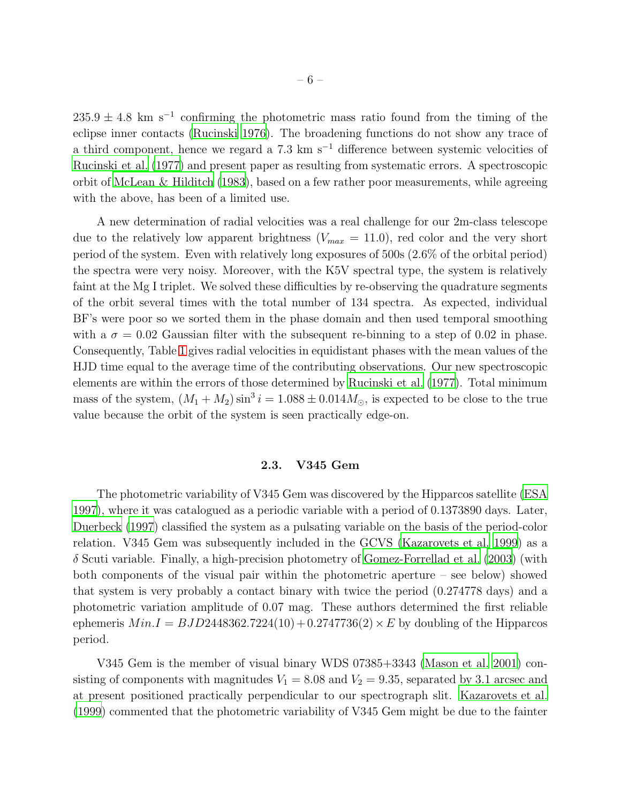$235.9 \pm 4.8$  km s<sup>-1</sup> confirming the photometric mass ratio found from the timing of the eclipse inner contacts [\(Rucinski 1976](#page-17-7)). The broadening functions do not show any trace of a third component, hence we regard a 7.3 km s<sup>−</sup><sup>1</sup> difference between systemic velocities of [Rucinski et al. \(1977](#page-17-8)) and present paper as resulting from systematic errors. A spectroscopic orbit of [McLean & Hilditch \(1983\)](#page-16-6), based on a few rather poor measurements, while agreeing with the above, has been of a limited use.

A new determination of radial velocities was a real challenge for our 2m-class telescope due to the relatively low apparent brightness  $(V_{max} = 11.0)$ , red color and the very short period of the system. Even with relatively long exposures of 500s (2.6% of the orbital period) the spectra were very noisy. Moreover, with the K5V spectral type, the system is relatively faint at the Mg I triplet. We solved these difficulties by re-observing the quadrature segments of the orbit several times with the total number of 134 spectra. As expected, individual BF's were poor so we sorted them in the phase domain and then used temporal smoothing with a  $\sigma = 0.02$  Gaussian filter with the subsequent re-binning to a step of 0.02 in phase. Consequently, Table [1](#page-28-0) gives radial velocities in equidistant phases with the mean values of the HJD time equal to the average time of the contributing observations. Our new spectroscopic elements are within the errors of those determined by [Rucinski et al. \(1977\)](#page-17-8). Total minimum mass of the system,  $(M_1 + M_2) \sin^3 i = 1.088 \pm 0.014 M_{\odot}$ , is expected to be close to the true value because the orbit of the system is seen practically edge-on.

#### 2.3. V345 Gem

The photometric variability of V345 Gem was discovered by the Hipparcos satellite [\(ESA](#page-15-5) [1997\)](#page-15-5), where it was catalogued as a periodic variable with a period of 0.1373890 days. Later, [Duerbeck \(1997\)](#page-15-6) classified the system as a pulsating variable on the basis of the period-color relation. V345 Gem was subsequently included in the GCVS [\(Kazarovets et al. 1999\)](#page-16-7) as a  $\delta$  Scuti variable. Finally, a high-precision photometry of [Gomez-Forrellad et al. \(2003\)](#page-15-7) (with both components of the visual pair within the photometric aperture – see below) showed that system is very probably a contact binary with twice the period (0.274778 days) and a photometric variation amplitude of 0.07 mag. These authors determined the first reliable ephemeris  $Min.I = BJD2448362.7224(10) + 0.2747736(2) \times E$  by doubling of the Hipparcos period.

V345 Gem is the member of visual binary WDS 07385+3343 [\(Mason](#page-16-8) et al. [2001\)](#page-16-8) consisting of components with magnitudes  $V_1 = 8.08$  and  $V_2 = 9.35$ , separated by 3.1 arcsec and at present positioned practically perpendicular to our spectrograph slit. [Kazarovets et al.](#page-16-7) [\(1999\)](#page-16-7) commented that the photometric variability of V345 Gem might be due to the fainter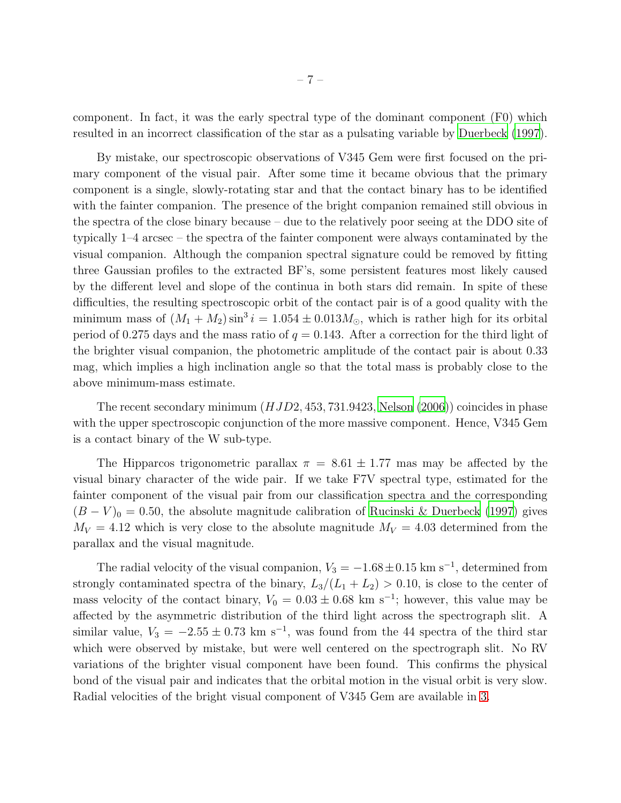component. In fact, it was the early spectral type of the dominant component (F0) which resulted in an incorrect classification of the star as a pulsating variable by [Duerbeck \(1997](#page-15-6)).

By mistake, our spectroscopic observations of V345 Gem were first focused on the primary component of the visual pair. After some time it became obvious that the primary component is a single, slowly-rotating star and that the contact binary has to be identified with the fainter companion. The presence of the bright companion remained still obvious in the spectra of the close binary because – due to the relatively poor seeing at the DDO site of typically 1–4 arcsec – the spectra of the fainter component were always contaminated by the visual companion. Although the companion spectral signature could be removed by fitting three Gaussian profiles to the extracted BF's, some persistent features most likely caused by the different level and slope of the continua in both stars did remain. In spite of these difficulties, the resulting spectroscopic orbit of the contact pair is of a good quality with the minimum mass of  $(M_1 + M_2) \sin^3 i = 1.054 \pm 0.013 M_{\odot}$ , which is rather high for its orbital period of 0.275 days and the mass ratio of  $q = 0.143$ . After a correction for the third light of the brighter visual companion, the photometric amplitude of the contact pair is about 0.33 mag, which implies a high inclination angle so that the total mass is probably close to the above minimum-mass estimate.

The recent secondary minimum  $(HJD2, 453, 731.9423,$  Nelson  $(2006)$ ) coincides in phase with the upper spectroscopic conjunction of the more massive component. Hence, V345 Gem is a contact binary of the W sub-type.

The Hipparcos trigonometric parallax  $\pi = 8.61 \pm 1.77$  mas may be affected by the visual binary character of the wide pair. If we take F7V spectral type, estimated for the fainter component of the visual pair from our classification spectra and the corresponding  $(B - V)_0 = 0.50$ , the absolute magnitude calibration of [Rucinski & Duerbeck \(1997](#page-17-5)) gives  $M_V = 4.12$  which is very close to the absolute magnitude  $M_V = 4.03$  determined from the parallax and the visual magnitude.

The radial velocity of the visual companion,  $V_3 = -1.68 \pm 0.15$  km s<sup>-1</sup>, determined from strongly contaminated spectra of the binary,  $L_3/(L_1 + L_2) > 0.10$ , is close to the center of mass velocity of the contact binary,  $V_0 = 0.03 \pm 0.68$  km s<sup>-1</sup>; however, this value may be affected by the asymmetric distribution of the third light across the spectrograph slit. A similar value,  $V_3 = -2.55 \pm 0.73$  km s<sup>-1</sup>, was found from the 44 spectra of the third star which were observed by mistake, but were well centered on the spectrograph slit. No RV variations of the brighter visual component have been found. This confirms the physical bond of the visual pair and indicates that the orbital motion in the visual orbit is very slow. Radial velocities of the bright visual component of V345 Gem are available in [3.](#page-28-0)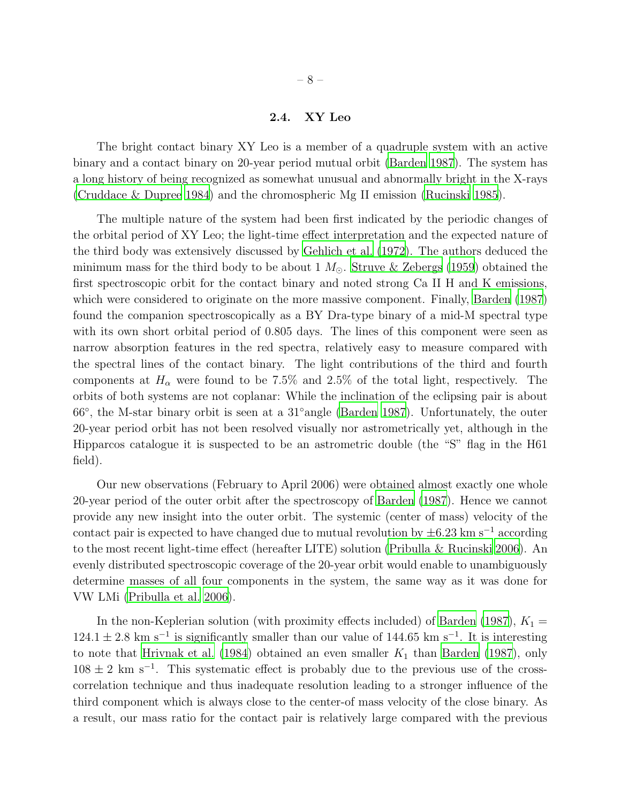### 2.4. XY Leo

The bright contact binary XY Leo is a member of a quadruple system with an active binary and a contact binary on 20-year period mutual orbit [\(Barden 1987\)](#page-14-0). The system has a long history of being recognized as somewhat unusual and abnormally bright in the X-rays [\(Cruddace & Dupree 1984\)](#page-15-8) and the chromospheric Mg II emission [\(Rucinski 1985](#page-17-9)).

The multiple nature of the system had been first indicated by the periodic changes of the orbital period of XY Leo; the light-time effect interpretation and the expected nature of the third body was extensively discussed by [Gehlich et al. \(1972\)](#page-15-9). The authors deduced the minimum mass for the third body to be about 1  $M_{\odot}$ . [Struve & Zebergs \(1959\)](#page-17-10) obtained the first spectroscopic orbit for the contact binary and noted strong Ca II H and K emissions, which were considered to originate on the more massive component. Finally, [Barden \(1987\)](#page-14-0) found the companion spectroscopically as a BY Dra-type binary of a mid-M spectral type with its own short orbital period of 0.805 days. The lines of this component were seen as narrow absorption features in the red spectra, relatively easy to measure compared with the spectral lines of the contact binary. The light contributions of the third and fourth components at  $H_{\alpha}$  were found to be 7.5% and 2.5% of the total light, respectively. The orbits of both systems are not coplanar: While the inclination of the eclipsing pair is about 66◦ , the M-star binary orbit is seen at a 31◦angle [\(Barden 1987](#page-14-0)). Unfortunately, the outer 20-year period orbit has not been resolved visually nor astrometrically yet, although in the Hipparcos catalogue it is suspected to be an astrometric double (the "S" flag in the H61 field).

Our new observations (February to April 2006) were obtained almost exactly one whole 20-year period of the outer orbit after the spectroscopy of [Barden \(1987\)](#page-14-0). Hence we cannot provide any new insight into the outer orbit. The systemic (center of mass) velocity of the contact pair is expected to have changed due to mutual revolution by  $\pm 6.23$  km s<sup>-1</sup> according to the most recent light-time effect (hereafter LITE) solution [\(Pribulla & Rucinski 2006](#page-16-4)). An evenly distributed spectroscopic coverage of the 20-year orbit would enable to unambiguously determine masses of all four components in the system, the same way as it was done for VW LMi [\(Pribulla et al. 2006\)](#page-16-0).

In the non-Keplerian solution (with proximity effects included) of [Barden \(1987](#page-14-0)),  $K_1 =$  $124.1 \pm 2.8$  km s<sup>-1</sup> is significantly smaller than our value of 144.65 km s<sup>-1</sup>. It is interesting to note that [Hrivnak et al. \(1984](#page-15-10)) obtained an even smaller  $K_1$  than [Barden \(1987\)](#page-14-0), only  $108 \pm 2$  km s<sup>-1</sup>. This systematic effect is probably due to the previous use of the crosscorrelation technique and thus inadequate resolution leading to a stronger influence of the third component which is always close to the center-of mass velocity of the close binary. As a result, our mass ratio for the contact pair is relatively large compared with the previous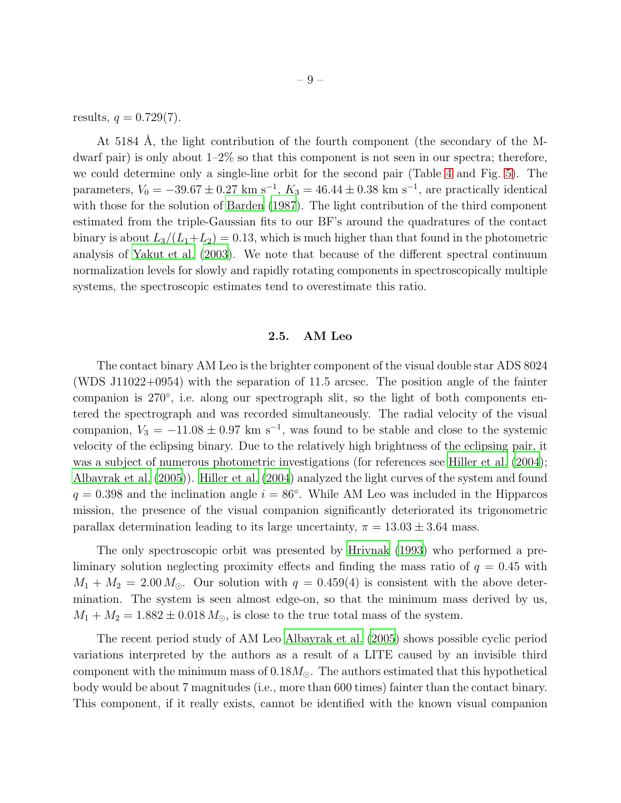results,  $q = 0.729(7)$ .

At 5184 Å, the light contribution of the fourth component (the secondary of the Mdwarf pair) is only about  $1-2\%$  so that this component is not seen in our spectra; therefore, we could determine only a single-line orbit for the second pair (Table [4](#page-28-0) and Fig. [5\)](#page-18-3). The parameters,  $V_0 = -39.67 \pm 0.27$  km s<sup>-1</sup>,  $K_3 = 46.44 \pm 0.38$  km s<sup>-1</sup>, are practically identical with those for the solution of [Barden \(1987](#page-14-0)). The light contribution of the third component estimated from the triple-Gaussian fits to our BF's around the quadratures of the contact binary is about  $L_3/(L_1+L_2) = 0.13$ , which is much higher than that found in the photometric analysis of [Yakut et al. \(2003\)](#page-17-11). We note that because of the different spectral continuum normalization levels for slowly and rapidly rotating components in spectroscopically multiple systems, the spectroscopic estimates tend to overestimate this ratio.

#### 2.5. AM Leo

The contact binary AM Leo is the brighter component of the visual double star ADS 8024 (WDS J11022+0954) with the separation of 11.5 arcsec. The position angle of the fainter companion is 270°, i.e. along our spectrograph slit, so the light of both components entered the spectrograph and was recorded simultaneously. The radial velocity of the visual companion,  $V_3 = -11.08 \pm 0.97$  km s<sup>-1</sup>, was found to be stable and close to the systemic velocity of the eclipsing binary. Due to the relatively high brightness of the eclipsing pair, it was a subject of numerous photometric investigations (for references see Hiller et al.  $(2004)$ ; [Albayrak et al. \(2005\)](#page-14-1)). [Hiller et al. \(2004\)](#page-15-11) analyzed the light curves of the system and found  $q = 0.398$  and the inclination angle  $i = 86°$ . While AM Leo was included in the Hipparcos mission, the presence of the visual companion significantly deteriorated its trigonometric parallax determination leading to its large uncertainty,  $\pi = 13.03 \pm 3.64$  mass.

The only spectroscopic orbit was presented by [Hrivnak \(1993](#page-15-12)) who performed a preliminary solution neglecting proximity effects and finding the mass ratio of  $q = 0.45$  with  $M_1 + M_2 = 2.00 M_{\odot}$ . Our solution with  $q = 0.459(4)$  is consistent with the above determination. The system is seen almost edge-on, so that the minimum mass derived by us,  $M_1 + M_2 = 1.882 \pm 0.018 M_{\odot}$ , is close to the true total mass of the system.

The recent period study of AM Leo [Albayrak et al. \(2005\)](#page-14-1) shows possible cyclic period variations interpreted by the authors as a result of a LITE caused by an invisible third component with the minimum mass of  $0.18M_{\odot}$ . The authors estimated that this hypothetical body would be about 7 magnitudes (i.e., more than 600 times) fainter than the contact binary. This component, if it really exists, cannot be identified with the known visual companion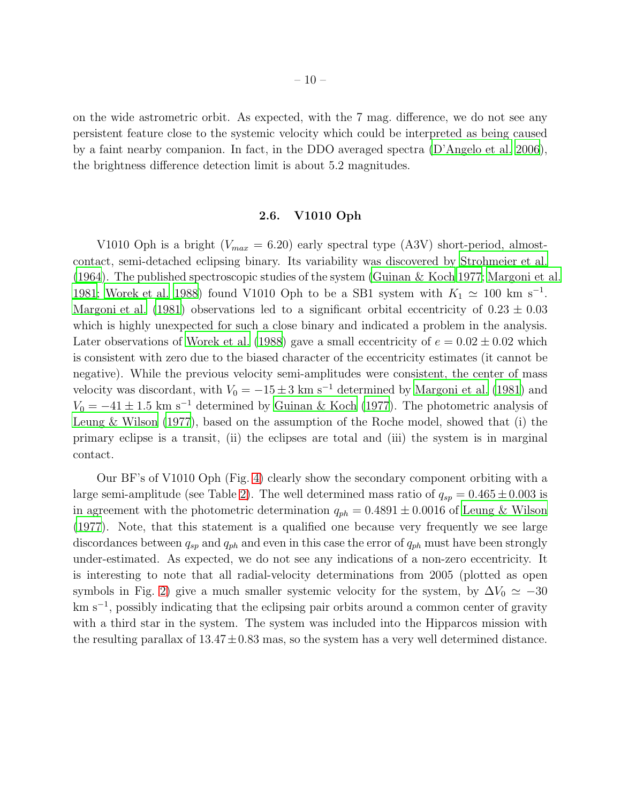on the wide astrometric orbit. As expected, with the 7 mag. difference, we do not see any persistent feature close to the systemic velocity which could be interpreted as being caused by a faint nearby companion. In fact, in the DDO averaged spectra [\(D'Angelo et al. 2006](#page-15-13)), the brightness difference detection limit is about 5.2 magnitudes.

#### 2.6. V1010 Oph

V1010 Oph is a bright  $(V_{max} = 6.20)$  early spectral type  $(ASV)$  short-period, almostcontact, semi-detached eclipsing binary. Its variability was discovered by [Strohmeier et al.](#page-17-12) [\(1964\)](#page-17-12). The published spectroscopic studies of the system [\(Guinan & Koch 1977;](#page-15-14) [Margoni et al.](#page-16-10) [1981;](#page-16-10) [Worek et al. 1988](#page-17-13)) found V1010 Oph to be a SB1 system with  $K_1 \simeq 100 \text{ km s}^{-1}$ . [Margoni et al. \(1981](#page-16-10)) observations led to a significant orbital eccentricity of  $0.23 \pm 0.03$ which is highly unexpected for such a close binary and indicated a problem in the analysis. Later observations of [Worek et al. \(1988](#page-17-13)) gave a small eccentricity of  $e = 0.02 \pm 0.02$  which is consistent with zero due to the biased character of the eccentricity estimates (it cannot be negative). While the previous velocity semi-amplitudes were consistent, the center of mass velocity was discordant, with  $V_0 = -15 \pm 3$  km s<sup>-1</sup> determined by [Margoni et al. \(1981](#page-16-10)) and  $V_0 = -41 \pm 1.5$  km s<sup>-1</sup> determined by [Guinan & Koch \(1977\)](#page-15-14). The photometric analysis of [Leung & Wilson](#page-16-11) [\(1977](#page-16-11)), based on the assumption of the Roche model, showed that (i) the primary eclipse is a transit, (ii) the eclipses are total and (iii) the system is in marginal contact.

Our BF's of V1010 Oph (Fig. [4\)](#page-18-2) clearly show the secondary component orbiting with a large semi-amplitude (see Table [2\)](#page-28-0). The well determined mass ratio of  $q_{sp} = 0.465 \pm 0.003$  is in agreement with the photometric determination  $q_{ph} = 0.4891 \pm 0.0016$  of [Leung & Wilson](#page-16-11) [\(1977\)](#page-16-11). Note, that this statement is a qualified one because very frequently we see large discordances between  $q_{sp}$  and  $q_{ph}$  and even in this case the error of  $q_{ph}$  must have been strongly under-estimated. As expected, we do not see any indications of a non-zero eccentricity. It is interesting to note that all radial-velocity determinations from 2005 (plotted as open symbols in Fig. [2\)](#page-18-4) give a much smaller systemic velocity for the system, by  $\Delta V_0 \simeq -30$ km s<sup>−</sup><sup>1</sup> , possibly indicating that the eclipsing pair orbits around a common center of gravity with a third star in the system. The system was included into the Hipparcos mission with the resulting parallax of  $13.47 \pm 0.83$  mas, so the system has a very well determined distance.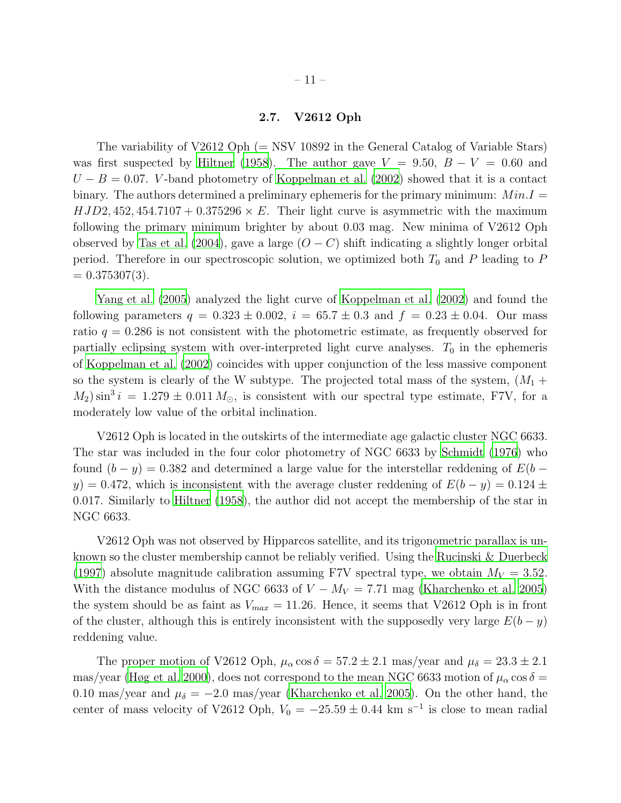### 2.7. V2612 Oph

The variability of V2612 Oph (= NSV 10892 in the General Catalog of Variable Stars) was first suspected by [Hiltner \(1958\)](#page-15-15). The author gave  $V = 9.50, B - V = 0.60$  and  $U - B = 0.07$ . V-band photometry of [Koppelman et al. \(2002\)](#page-16-12) showed that it is a contact binary. The authors determined a preliminary ephemeris for the primary minimum:  $Min.I =$  $HJD2, 452, 454.7107 + 0.375296 \times E$ . Their light curve is asymmetric with the maximum following the primary minimum brighter by about 0.03 mag. New minima of V2612 Oph observed by [Tas et al. \(2004](#page-17-14)), gave a large  $(O - C)$  shift indicating a slightly longer orbital period. Therefore in our spectroscopic solution, we optimized both  $T_0$  and P leading to P  $= 0.375307(3)$ .

[Yang et al. \(2005\)](#page-17-15) analyzed the light curve of [Koppelman et al. \(2002\)](#page-16-12) and found the following parameters  $q = 0.323 \pm 0.002$ ,  $i = 65.7 \pm 0.3$  and  $f = 0.23 \pm 0.04$ . Our mass ratio  $q = 0.286$  is not consistent with the photometric estimate, as frequently observed for partially eclipsing system with over-interpreted light curve analyses.  $T_0$  in the ephemeris of [Koppelman et al. \(2002\)](#page-16-12) coincides with upper conjunction of the less massive component so the system is clearly of the W subtype. The projected total mass of the system,  $(M_1 +$  $M_2$ ) sin<sup>3</sup> i = 1.279  $\pm$  0.011  $M_{\odot}$ , is consistent with our spectral type estimate, F7V, for a moderately low value of the orbital inclination.

V2612 Oph is located in the outskirts of the intermediate age galactic cluster NGC 6633. The star was included in the four color photometry of NGC 6633 by [Schmidt](#page-17-16) [\(1976](#page-17-16)) who found  $(b - y) = 0.382$  and determined a large value for the interstellar reddening of  $E(b$ y) = 0.472, which is inconsistent with the average cluster reddening of  $E(b - y) = 0.124 \pm 1.00$ 0.017. Similarly to [Hiltner \(1958\)](#page-15-15), the author did not accept the membership of the star in NGC 6633.

V2612 Oph was not observed by Hipparcos satellite, and its trigonometric parallax is unknown so the cluster membership cannot be reliably verified. Using the [Rucinski & Duerbeck](#page-17-5) [\(1997\)](#page-17-5) absolute magnitude calibration assuming F7V spectral type, we obtain  $M_V = 3.52$ . With the distance modulus of NGC 6633 of  $V - M_V = 7.71$  mag [\(Kharchenko et al. 2005\)](#page-16-13) the system should be as faint as  $V_{max} = 11.26$ . Hence, it seems that V2612 Oph is in front of the cluster, although this is entirely inconsistent with the supposedly very large  $E(b - y)$ reddening value.

The proper motion of V2612 Oph,  $\mu_{\alpha}$  cos  $\delta = 57.2 \pm 2.1$  mas/year and  $\mu_{\delta} = 23.3 \pm 2.1$ mas/year [\(Høg et al. 2000](#page-15-0)), does not correspond to the mean NGC 6633 motion of  $\mu_{\alpha}$  cos  $\delta$  = 0.10 mas/year and  $\mu_{\delta} = -2.0$  mas/year [\(Kharchenko et al. 2005\)](#page-16-13). On the other hand, the center of mass velocity of V2612 Oph,  $V_0 = -25.59 \pm 0.44$  km s<sup>-1</sup> is close to mean radial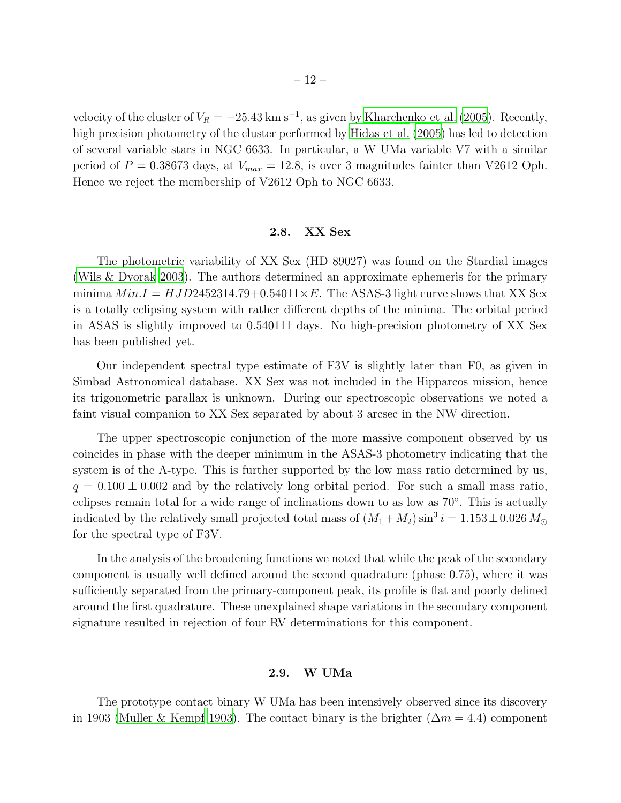velocity of the cluster of  $V_R = -25.43 \text{ km s}^{-1}$ , as given by [Kharchenko et al. \(2005\)](#page-16-13). Recently, high precision photometry of the cluster performed by [Hidas](#page-15-16) et al. [\(2005\)](#page-15-16) has led to detection of several variable stars in NGC 6633. In particular, a W UMa variable V7 with a similar period of  $P = 0.38673$  days, at  $V_{max} = 12.8$ , is over 3 magnitudes fainter than V2612 Oph. Hence we reject the membership of V2612 Oph to NGC 6633.

#### 2.8. XX Sex

The photometric variability of XX Sex (HD 89027) was found on the Stardial images [\(Wils & Dvorak 2003](#page-17-1)). The authors determined an approximate ephemeris for the primary minima  $Min.I = HJD2452314.79 + 0.54011 \times E$ . The ASAS-3 light curve shows that XX Sex is a totally eclipsing system with rather different depths of the minima. The orbital period in ASAS is slightly improved to 0.540111 days. No high-precision photometry of XX Sex has been published yet.

Our independent spectral type estimate of F3V is slightly later than F0, as given in Simbad Astronomical database. XX Sex was not included in the Hipparcos mission, hence its trigonometric parallax is unknown. During our spectroscopic observations we noted a faint visual companion to XX Sex separated by about 3 arcsec in the NW direction.

The upper spectroscopic conjunction of the more massive component observed by us coincides in phase with the deeper minimum in the ASAS-3 photometry indicating that the system is of the A-type. This is further supported by the low mass ratio determined by us,  $q = 0.100 \pm 0.002$  and by the relatively long orbital period. For such a small mass ratio, eclipses remain total for a wide range of inclinations down to as low as 70◦ . This is actually indicated by the relatively small projected total mass of  $(M_1 + M_2) \sin^3 i = 1.153 \pm 0.026 M_{\odot}$ for the spectral type of F3V.

In the analysis of the broadening functions we noted that while the peak of the secondary component is usually well defined around the second quadrature (phase 0.75), where it was sufficiently separated from the primary-component peak, its profile is flat and poorly defined around the first quadrature. These unexplained shape variations in the secondary component signature resulted in rejection of four RV determinations for this component.

#### 2.9. W UMa

The prototype contact binary W UMa has been intensively observed since its discovery in 1903 [\(Muller & Kempf 1903](#page-16-14)). The contact binary is the brighter  $(\Delta m = 4.4)$  component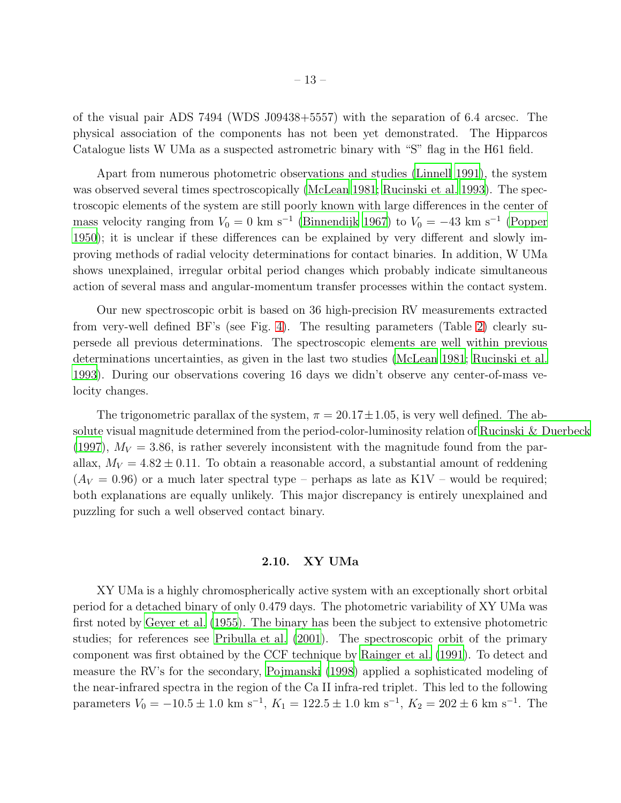of the visual pair ADS 7494 (WDS J09438+5557) with the separation of 6.4 arcsec. The physical association of the components has not been yet demonstrated. The Hipparcos Catalogue lists W UMa as a suspected astrometric binary with "S" flag in the H61 field.

Apart from numerous photometric observations and studies [\(Linnell 1991\)](#page-16-15), the system was observed several times spectroscopically [\(McLean 1981;](#page-16-16) [Rucinski et al. 1993](#page-17-17)). The spectroscopic elements of the system are still poorly known with large differences in the center of mass velocity ranging from  $V_0 = 0 \text{ km s}^{-1}$  [\(Binnendijk 1967\)](#page-15-17) to  $V_0 = -43 \text{ km s}^{-1}$  [\(Popper](#page-16-17) [1950\)](#page-16-17); it is unclear if these differences can be explained by very different and slowly improving methods of radial velocity determinations for contact binaries. In addition, W UMa shows unexplained, irregular orbital period changes which probably indicate simultaneous action of several mass and angular-momentum transfer processes within the contact system.

Our new spectroscopic orbit is based on 36 high-precision RV measurements extracted from very-well defined BF's (see Fig. [4\)](#page-18-2). The resulting parameters (Table [2\)](#page-28-0) clearly supersede all previous determinations. The spectroscopic elements are well within previous determinations uncertainties, as given in the last two studies [\(McLean 1981;](#page-16-16) [Rucinski et al.](#page-17-17) [1993\)](#page-17-17). During our observations covering 16 days we didn't observe any center-of-mass velocity changes.

The trigonometric parallax of the system,  $\pi = 20.17 \pm 1.05$ , is very well defined. The absolute visual magnitude determined from the period-color-luminosity relation of [Rucinski & Duerbeck](#page-17-5) [\(1997\)](#page-17-5),  $M_V = 3.86$ , is rather severely inconsistent with the magnitude found from the parallax,  $M_V = 4.82 \pm 0.11$ . To obtain a reasonable accord, a substantial amount of reddening  $(A_V = 0.96)$  or a much later spectral type – perhaps as late as K1V – would be required; both explanations are equally unlikely. This major discrepancy is entirely unexplained and puzzling for such a well observed contact binary.

#### 2.10. XY UMa

XY UMa is a highly chromospherically active system with an exceptionally short orbital period for a detached binary of only 0.479 days. The photometric variability of XY UMa was first noted by [Geyer et al. \(1955\)](#page-15-18). The binary has been the subject to extensive photometric studies; for references see [Pribulla et al. \(2001\)](#page-16-18). The spectroscopic orbit of the primary component was first obtained by the CCF technique by [Rainger et al.](#page-17-18) [\(1991\)](#page-17-18). To detect and measure the RV's for the secondary, [Pojmanski \(1998\)](#page-16-19) applied a sophisticated modeling of the near-infrared spectra in the region of the Ca II infra-red triplet. This led to the following parameters  $V_0 = -10.5 \pm 1.0 \text{ km s}^{-1}$ ,  $K_1 = 122.5 \pm 1.0 \text{ km s}^{-1}$ ,  $K_2 = 202 \pm 6 \text{ km s}^{-1}$ . The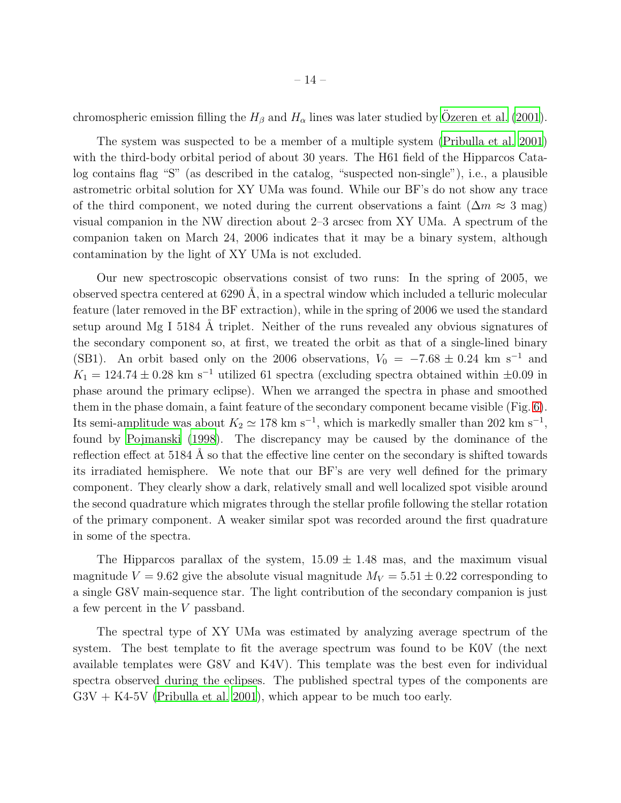chromospheric emission filling the  $H_\beta$  and  $H_\alpha$  lines was later studied by Özeren et al. (2001).

The system was suspected to be a member of a multiple system [\(Pribulla et al. 2001\)](#page-16-18) with the third-body orbital period of about 30 years. The H61 field of the Hipparcos Catalog contains flag "S" (as described in the catalog, "suspected non-single"), i.e., a plausible astrometric orbital solution for XY UMa was found. While our BF's do not show any trace of the third component, we noted during the current observations a faint  $(\Delta m \approx 3 \text{ mag})$ visual companion in the NW direction about 2–3 arcsec from XY UMa. A spectrum of the companion taken on March 24, 2006 indicates that it may be a binary system, although contamination by the light of XY UMa is not excluded.

Our new spectroscopic observations consist of two runs: In the spring of 2005, we observed spectra centered at  $6290 \text{ Å}$ , in a spectral window which included a telluric molecular feature (later removed in the BF extraction), while in the spring of 2006 we used the standard setup around Mg I 5184 Å triplet. Neither of the runs revealed any obvious signatures of the secondary component so, at first, we treated the orbit as that of a single-lined binary (SB1). An orbit based only on the 2006 observations,  $V_0 = -7.68 \pm 0.24$  km s<sup>-1</sup> and  $K_1 = 124.74 \pm 0.28$  km s<sup>-1</sup> utilized 61 spectra (excluding spectra obtained within  $\pm 0.09$  in phase around the primary eclipse). When we arranged the spectra in phase and smoothed them in the phase domain, a faint feature of the secondary component became visible (Fig. [6\)](#page-18-5). Its semi-amplitude was about  $K_2 \simeq 178 \text{ km s}^{-1}$ , which is markedly smaller than 202 km s<sup>-1</sup>, found by [Pojmanski \(1998\)](#page-16-19). The discrepancy may be caused by the dominance of the reflection effect at 5184 Å so that the effective line center on the secondary is shifted towards its irradiated hemisphere. We note that our BF's are very well defined for the primary component. They clearly show a dark, relatively small and well localized spot visible around the second quadrature which migrates through the stellar profile following the stellar rotation of the primary component. A weaker similar spot was recorded around the first quadrature in some of the spectra.

The Hipparcos parallax of the system,  $15.09 \pm 1.48$  mas, and the maximum visual magnitude  $V = 9.62$  give the absolute visual magnitude  $M_V = 5.51 \pm 0.22$  corresponding to a single G8V main-sequence star. The light contribution of the secondary companion is just a few percent in the V passband.

The spectral type of XY UMa was estimated by analyzing average spectrum of the system. The best template to fit the average spectrum was found to be K0V (the next available templates were G8V and K4V). This template was the best even for individual spectra observed during the eclipses. The published spectral types of the components are  $G3V + K4-5V$  [\(Pribulla et al. 2001](#page-16-18)), which appear to be much too early.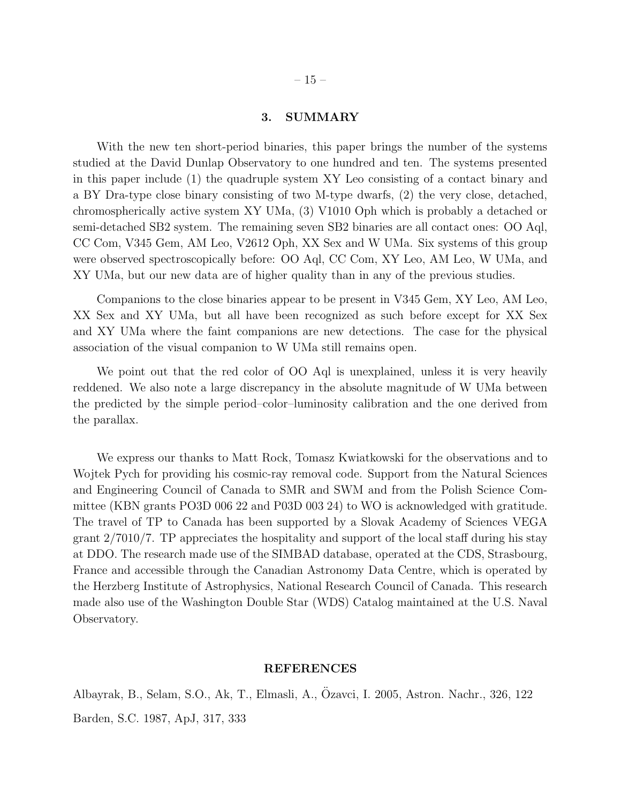### 3. SUMMARY

With the new ten short-period binaries, this paper brings the number of the systems studied at the David Dunlap Observatory to one hundred and ten. The systems presented in this paper include (1) the quadruple system XY Leo consisting of a contact binary and a BY Dra-type close binary consisting of two M-type dwarfs, (2) the very close, detached, chromospherically active system XY UMa, (3) V1010 Oph which is probably a detached or semi-detached SB2 system. The remaining seven SB2 binaries are all contact ones: OO Aql, CC Com, V345 Gem, AM Leo, V2612 Oph, XX Sex and W UMa. Six systems of this group were observed spectroscopically before: OO Aql, CC Com, XY Leo, AM Leo, W UMa, and XY UMa, but our new data are of higher quality than in any of the previous studies.

Companions to the close binaries appear to be present in V345 Gem, XY Leo, AM Leo, XX Sex and XY UMa, but all have been recognized as such before except for XX Sex and XY UMa where the faint companions are new detections. The case for the physical association of the visual companion to W UMa still remains open.

We point out that the red color of OO Aql is unexplained, unless it is very heavily reddened. We also note a large discrepancy in the absolute magnitude of W UMa between the predicted by the simple period–color–luminosity calibration and the one derived from the parallax.

We express our thanks to Matt Rock, Tomasz Kwiatkowski for the observations and to Wojtek Pych for providing his cosmic-ray removal code. Support from the Natural Sciences and Engineering Council of Canada to SMR and SWM and from the Polish Science Committee (KBN grants PO3D 006 22 and P03D 003 24) to WO is acknowledged with gratitude. The travel of TP to Canada has been supported by a Slovak Academy of Sciences VEGA grant 2/7010/7. TP appreciates the hospitality and support of the local staff during his stay at DDO. The research made use of the SIMBAD database, operated at the CDS, Strasbourg, France and accessible through the Canadian Astronomy Data Centre, which is operated by the Herzberg Institute of Astrophysics, National Research Council of Canada. This research made also use of the Washington Double Star (WDS) Catalog maintained at the U.S. Naval Observatory.

# REFERENCES

<span id="page-14-1"></span><span id="page-14-0"></span>Albayrak, B., Selam, S.O., Ak, T., Elmasli, A., Ozavci, I. 2005, Astron. Nachr., 326, 122 ¨ Barden, S.C. 1987, ApJ, 317, 333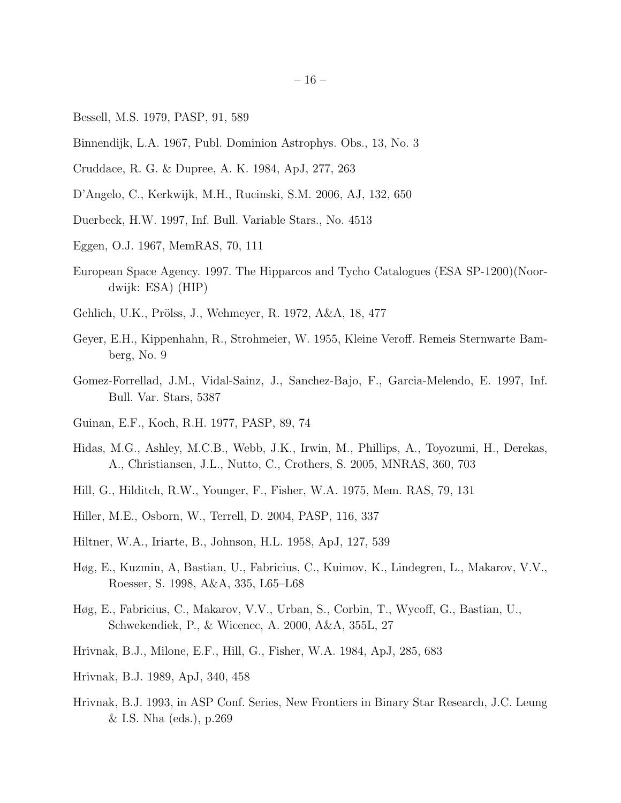- <span id="page-15-1"></span>Bessell, M.S. 1979, PASP, 91, 589
- <span id="page-15-17"></span>Binnendijk, L.A. 1967, Publ. Dominion Astrophys. Obs., 13, No. 3
- <span id="page-15-8"></span>Cruddace, R. G. & Dupree, A. K. 1984, ApJ, 277, 263
- <span id="page-15-13"></span>D'Angelo, C., Kerkwijk, M.H., Rucinski, S.M. 2006, AJ, 132, 650
- <span id="page-15-6"></span>Duerbeck, H.W. 1997, Inf. Bull. Variable Stars., No. 4513
- <span id="page-15-3"></span>Eggen, O.J. 1967, MemRAS, 70, 111
- <span id="page-15-5"></span>European Space Agency. 1997. The Hipparcos and Tycho Catalogues (ESA SP-1200)(Noordwijk: ESA) (HIP)
- <span id="page-15-9"></span>Gehlich, U.K., Prölss, J., Wehmeyer, R. 1972, A&A, 18, 477
- <span id="page-15-18"></span>Geyer, E.H., Kippenhahn, R., Strohmeier, W. 1955, Kleine Veroff. Remeis Sternwarte Bamberg, No. 9
- <span id="page-15-7"></span>Gomez-Forrellad, J.M., Vidal-Sainz, J., Sanchez-Bajo, F., Garcia-Melendo, E. 1997, Inf. Bull. Var. Stars, 5387
- <span id="page-15-14"></span>Guinan, E.F., Koch, R.H. 1977, PASP, 89, 74
- <span id="page-15-16"></span>Hidas, M.G., Ashley, M.C.B., Webb, J.K., Irwin, M., Phillips, A., Toyozumi, H., Derekas, A., Christiansen, J.L., Nutto, C., Crothers, S. 2005, MNRAS, 360, 703
- <span id="page-15-2"></span>Hill, G., Hilditch, R.W., Younger, F., Fisher, W.A. 1975, Mem. RAS, 79, 131
- <span id="page-15-11"></span>Hiller, M.E., Osborn, W., Terrell, D. 2004, PASP, 116, 337
- <span id="page-15-15"></span>Hiltner, W.A., Iriarte, B., Johnson, H.L. 1958, ApJ, 127, 539
- Høg, E., Kuzmin, A, Bastian, U., Fabricius, C., Kuimov, K., Lindegren, L., Makarov, V.V., Roesser, S. 1998, A&A, 335, L65–L68
- <span id="page-15-0"></span>Høg, E., Fabricius, C., Makarov, V.V., Urban, S., Corbin, T., Wycoff, G., Bastian, U., Schwekendiek, P., & Wicenec, A. 2000, A&A, 355L, 27
- <span id="page-15-10"></span>Hrivnak, B.J., Milone, E.F., Hill, G., Fisher, W.A. 1984, ApJ, 285, 683
- <span id="page-15-4"></span>Hrivnak, B.J. 1989, ApJ, 340, 458
- <span id="page-15-12"></span>Hrivnak, B.J. 1993, in ASP Conf. Series, New Frontiers in Binary Star Research, J.C. Leung & I.S. Nha (eds.), p.269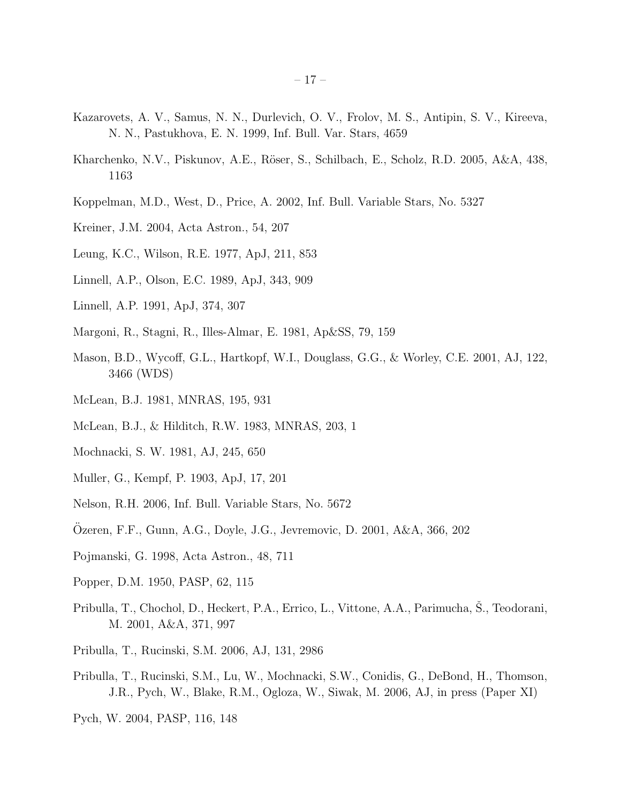- <span id="page-16-7"></span>Kazarovets, A. V., Samus, N. N., Durlevich, O. V., Frolov, M. S., Antipin, S. V., Kireeva, N. N., Pastukhova, E. N. 1999, Inf. Bull. Var. Stars, 4659
- <span id="page-16-13"></span>Kharchenko, N.V., Piskunov, A.E., Röser, S., Schilbach, E., Scholz, R.D. 2005, A&A, 438, 1163
- <span id="page-16-12"></span>Koppelman, M.D., West, D., Price, A. 2002, Inf. Bull. Variable Stars, No. 5327
- <span id="page-16-2"></span>Kreiner, J.M. 2004, Acta Astron., 54, 207
- <span id="page-16-11"></span>Leung, K.C., Wilson, R.E. 1977, ApJ, 211, 853
- <span id="page-16-5"></span>Linnell, A.P., Olson, E.C. 1989, ApJ, 343, 909
- <span id="page-16-15"></span>Linnell, A.P. 1991, ApJ, 374, 307
- <span id="page-16-10"></span>Margoni, R., Stagni, R., Illes-Almar, E. 1981, Ap&SS, 79, 159
- <span id="page-16-8"></span>Mason, B.D., Wycoff, G.L., Hartkopf, W.I., Douglass, G.G., & Worley, C.E. 2001, AJ, 122, 3466 (WDS)
- <span id="page-16-16"></span>McLean, B.J. 1981, MNRAS, 195, 931
- <span id="page-16-6"></span>McLean, B.J., & Hilditch, R.W. 1983, MNRAS, 203, 1
- <span id="page-16-3"></span>Mochnacki, S. W. 1981, AJ, 245, 650
- <span id="page-16-14"></span>Muller, G., Kempf, P. 1903, ApJ, 17, 201
- <span id="page-16-9"></span>Nelson, R.H. 2006, Inf. Bull. Variable Stars, No. 5672
- <span id="page-16-20"></span>Ozeren, F.F., Gunn, A.G., Doyle, J.G., Jevremovic, D. 2001, A&A, 366, 202
- <span id="page-16-19"></span>Pojmanski, G. 1998, Acta Astron., 48, 711
- <span id="page-16-17"></span>Popper, D.M. 1950, PASP, 62, 115
- <span id="page-16-18"></span>Pribulla, T., Chochol, D., Heckert, P.A., Errico, L., Vittone, A.A., Parimucha, Š., Teodorani, M. 2001, A&A, 371, 997
- <span id="page-16-4"></span>Pribulla, T., Rucinski, S.M. 2006, AJ, 131, 2986
- <span id="page-16-0"></span>Pribulla, T., Rucinski, S.M., Lu, W., Mochnacki, S.W., Conidis, G., DeBond, H., Thomson, J.R., Pych, W., Blake, R.M., Ogloza, W., Siwak, M. 2006, AJ, in press (Paper XI)
- <span id="page-16-1"></span>Pych, W. 2004, PASP, 116, 148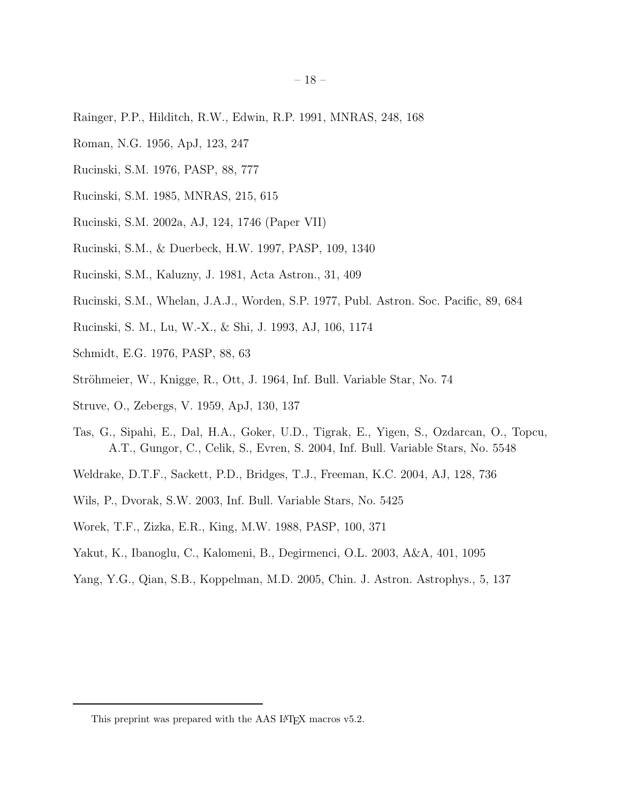- <span id="page-17-18"></span>Rainger, P.P., Hilditch, R.W., Edwin, R.P. 1991, MNRAS, 248, 168
- <span id="page-17-3"></span>Roman, N.G. 1956, ApJ, 123, 247
- <span id="page-17-7"></span>Rucinski, S.M. 1976, PASP, 88, 777
- <span id="page-17-9"></span>Rucinski, S.M. 1985, MNRAS, 215, 615
- <span id="page-17-0"></span>Rucinski, S.M. 2002a, AJ, 124, 1746 (Paper VII)
- <span id="page-17-5"></span>Rucinski, S.M., & Duerbeck, H.W. 1997, PASP, 109, 1340
- <span id="page-17-4"></span>Rucinski, S.M., Kaluzny, J. 1981, Acta Astron., 31, 409
- <span id="page-17-8"></span>Rucinski, S.M., Whelan, J.A.J., Worden, S.P. 1977, Publ. Astron. Soc. Pacific, 89, 684
- <span id="page-17-17"></span>Rucinski, S. M., Lu, W.-X., & Shi, J. 1993, AJ, 106, 1174
- <span id="page-17-16"></span>Schmidt, E.G. 1976, PASP, 88, 63
- <span id="page-17-12"></span>Ströhmeier, W., Knigge, R., Ott, J. 1964, Inf. Bull. Variable Star, No. 74
- <span id="page-17-10"></span>Struve, O., Zebergs, V. 1959, ApJ, 130, 137
- <span id="page-17-14"></span>Tas, G., Sipahi, E., Dal, H.A., Goker, U.D., Tigrak, E., Yigen, S., Ozdarcan, O., Topcu, A.T., Gungor, C., Celik, S., Evren, S. 2004, Inf. Bull. Variable Stars, No. 5548
- <span id="page-17-6"></span>Weldrake, D.T.F., Sackett, P.D., Bridges, T.J., Freeman, K.C. 2004, AJ, 128, 736
- <span id="page-17-1"></span>Wils, P., Dvorak, S.W. 2003, Inf. Bull. Variable Stars, No. 5425
- <span id="page-17-13"></span>Worek, T.F., Zizka, E.R., King, M.W. 1988, PASP, 100, 371
- <span id="page-17-11"></span>Yakut, K., Ibanoglu, C., Kalomeni, B., Degirmenci, O.L. 2003, A&A, 401, 1095
- <span id="page-17-15"></span>Yang, Y.G., Qian, S.B., Koppelman, M.D. 2005, Chin. J. Astron. Astrophys., 5, 137

<span id="page-17-2"></span>This preprint was prepared with the AAS IATEX macros v5.2.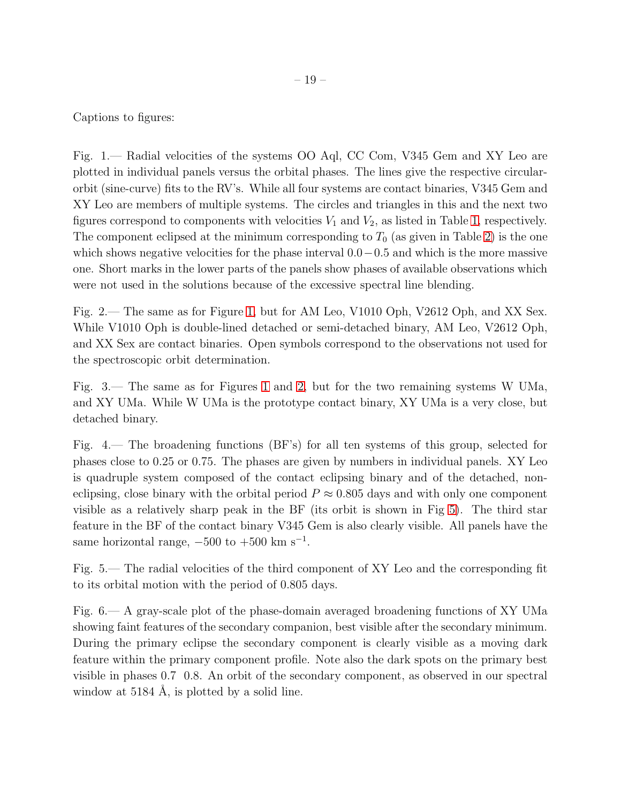Captions to figures:

<span id="page-18-0"></span>Fig. 1.— Radial velocities of the systems OO Aql, CC Com, V345 Gem and XY Leo are plotted in individual panels versus the orbital phases. The lines give the respective circularorbit (sine-curve) fits to the RV's. While all four systems are contact binaries, V345 Gem and XY Leo are members of multiple systems. The circles and triangles in this and the next two figures correspond to components with velocities  $V_1$  and  $V_2$ , as listed in Table [1,](#page-28-0) respectively. The component eclipsed at the minimum corresponding to  $T_0$  (as given in Table [2\)](#page-28-0) is the one which shows negative velocities for the phase interval  $0.0-0.5$  and which is the more massive one. Short marks in the lower parts of the panels show phases of available observations which were not used in the solutions because of the excessive spectral line blending.

<span id="page-18-4"></span>Fig. 2.— The same as for Figure [1,](#page-18-0) but for AM Leo, V1010 Oph, V2612 Oph, and XX Sex. While V1010 Oph is double-lined detached or semi-detached binary, AM Leo, V2612 Oph, and XX Sex are contact binaries. Open symbols correspond to the observations not used for the spectroscopic orbit determination.

<span id="page-18-1"></span>Fig. 3.— The same as for Figures [1](#page-18-0) and [2,](#page-18-4) but for the two remaining systems W UMa, and XY UMa. While W UMa is the prototype contact binary, XY UMa is a very close, but detached binary.

<span id="page-18-2"></span>Fig. 4.— The broadening functions (BF's) for all ten systems of this group, selected for phases close to 0.25 or 0.75. The phases are given by numbers in individual panels. XY Leo is quadruple system composed of the contact eclipsing binary and of the detached, noneclipsing, close binary with the orbital period  $P \approx 0.805$  days and with only one component visible as a relatively sharp peak in the BF (its orbit is shown in Fig [5\)](#page-18-3). The third star feature in the BF of the contact binary V345 Gem is also clearly visible. All panels have the same horizontal range,  $-500$  to  $+500$  km s<sup>-1</sup>.

<span id="page-18-3"></span>Fig. 5.— The radial velocities of the third component of XY Leo and the corresponding fit to its orbital motion with the period of 0.805 days.

<span id="page-18-5"></span>Fig. 6.— A gray-scale plot of the phase-domain averaged broadening functions of XY UMa showing faint features of the secondary companion, best visible after the secondary minimum. During the primary eclipse the secondary component is clearly visible as a moving dark feature within the primary component profile. Note also the dark spots on the primary best visible in phases 0.7 0.8. An orbit of the secondary component, as observed in our spectral window at 5184 Å, is plotted by a solid line.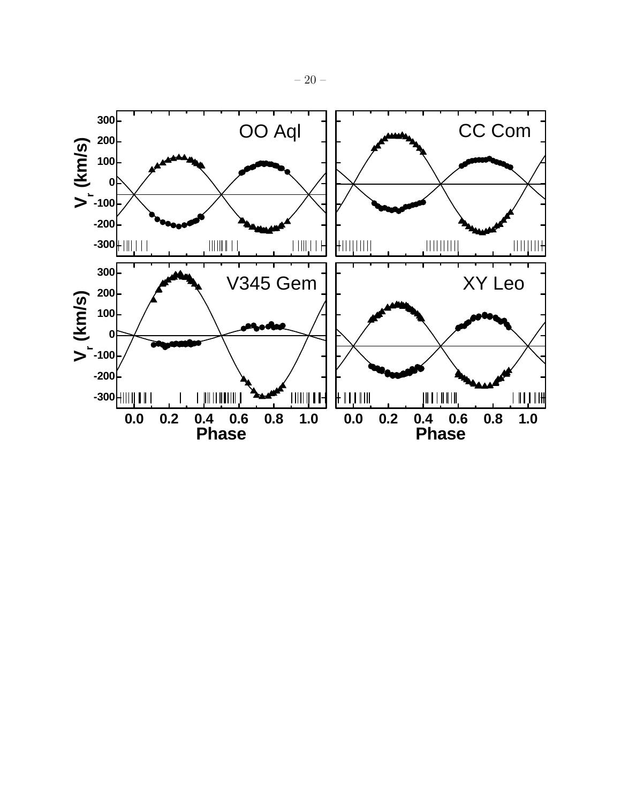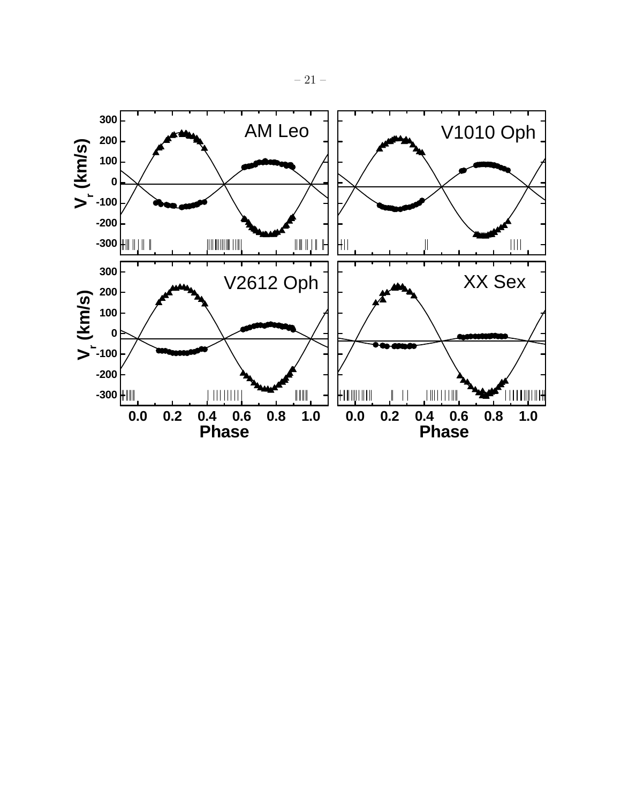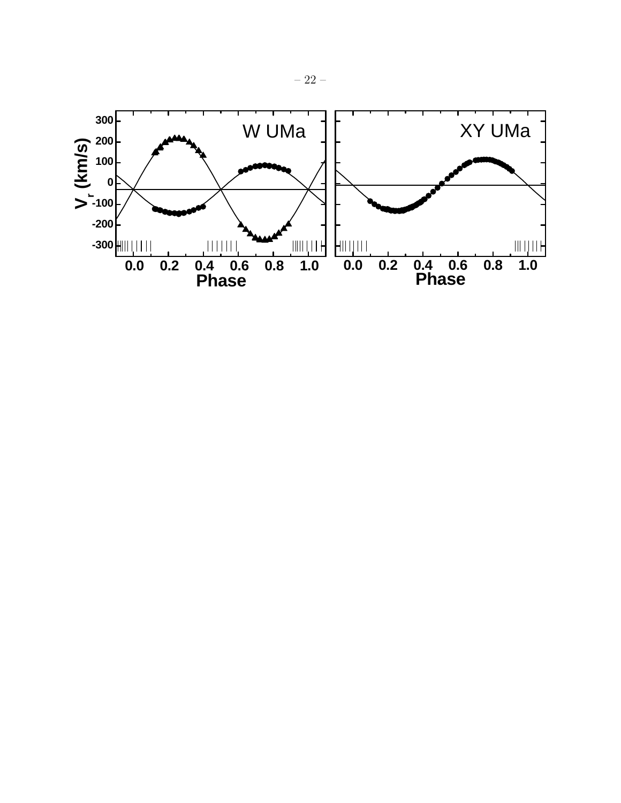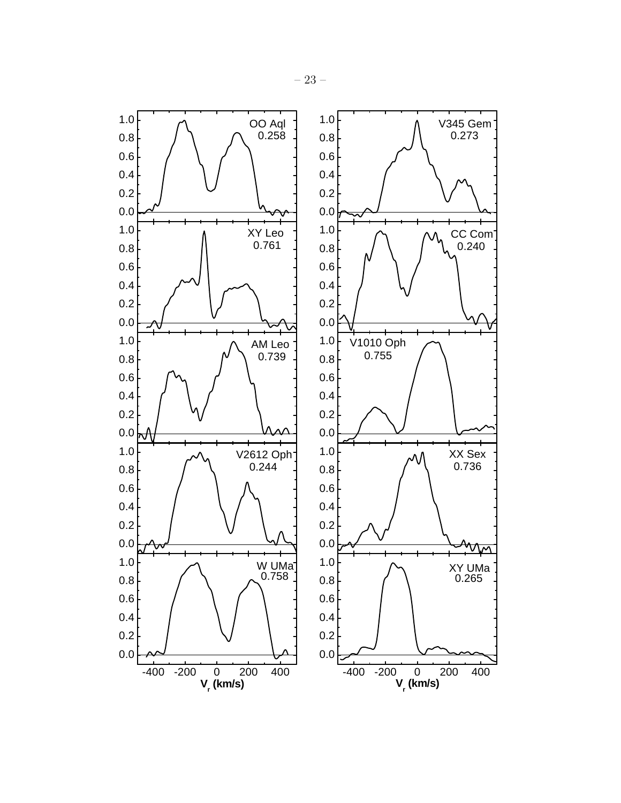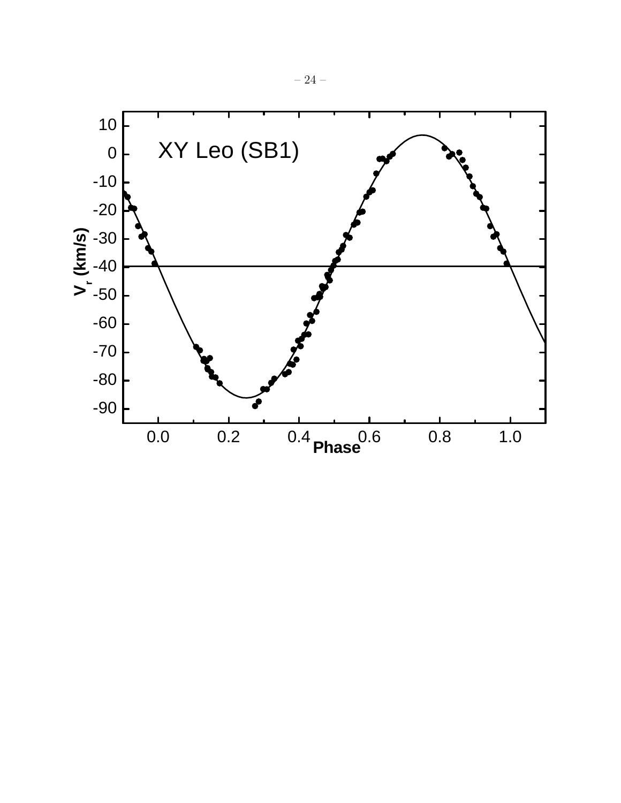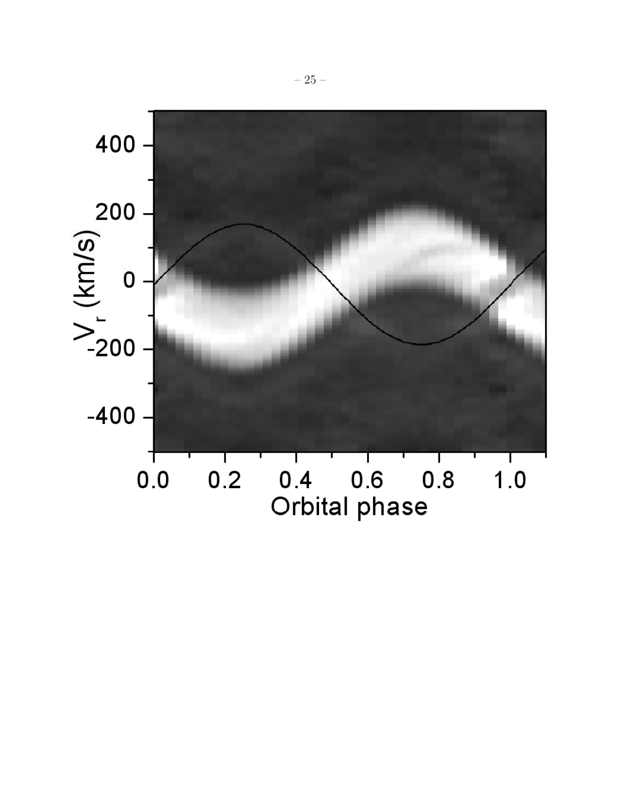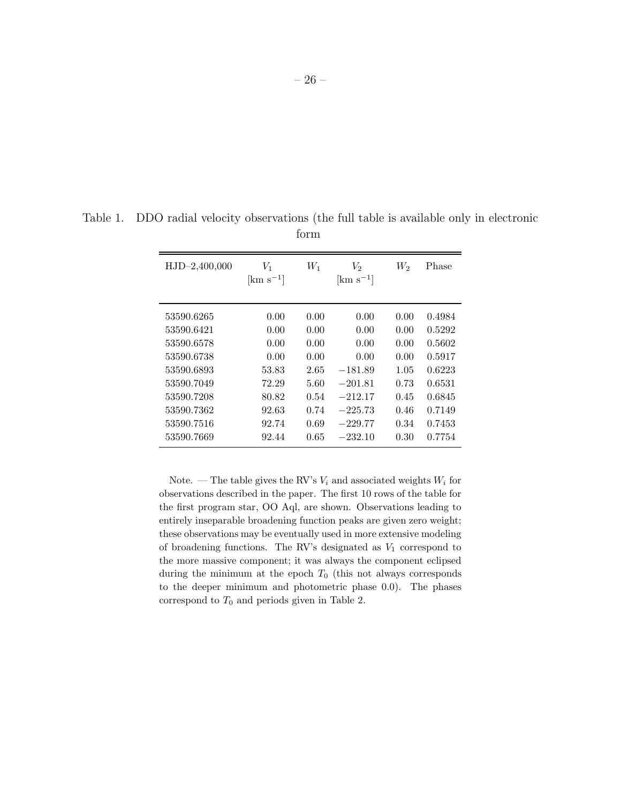| $HJD-2,400,000$ | $V_1$<br>$\mathrm{[km\ s^{-1}]}$ | $W_1$ | $V_2$<br>$\mathrm{[km\ s^{-1}]}$ | $W_2$ | Phase  |
|-----------------|----------------------------------|-------|----------------------------------|-------|--------|
| 53590.6265      | 0.00                             | 0.00  | 0.00                             | 0.00  | 0.4984 |
| 53590.6421      | 0.00                             | 0.00  | 0.00                             | 0.00  | 0.5292 |
| 53590.6578      | 0.00                             | 0.00  | 0.00                             | 0.00  | 0.5602 |
| 53590.6738      | 0.00                             | 0.00  | 0.00                             | 0.00  | 0.5917 |
| 53590.6893      | 53.83                            | 2.65  | $-181.89$                        | 1.05  | 0.6223 |
| 53590.7049      | 72.29                            | 5.60  | $-201.81$                        | 0.73  | 0.6531 |
| 53590.7208      | 80.82                            | 0.54  | $-212.17$                        | 0.45  | 0.6845 |
| 53590.7362      | 92.63                            | 0.74  | $-225.73$                        | 0.46  | 0.7149 |
| 53590.7516      | 92.74                            | 0.69  | $-229.77$                        | 0.34  | 0.7453 |
| 53590.7669      | 92.44                            | 0.65  | $-232.10$                        | 0.30  | 0.7754 |

Table 1. DDO radial velocity observations (the full table is available only in electronic form

Note. — The table gives the RV's  $V_i$  and associated weights  $W_i$  for observations described in the paper. The first 10 rows of the table for the first program star, OO Aql, are shown. Observations leading to entirely inseparable broadening function peaks are given zero weight; these observations may be eventually used in more extensive modeling of broadening functions. The RV's designated as  $V_1$  correspond to the more massive component; it was always the component eclipsed during the minimum at the epoch  $T_0$  (this not always corresponds to the deeper minimum and photometric phase 0.0). The phases correspond to  $T_0$  and periods given in Table 2.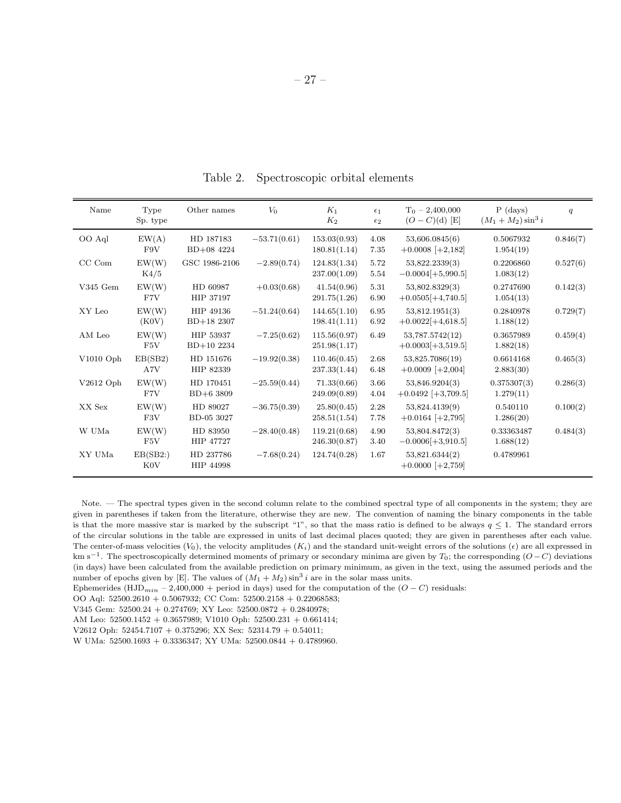| Name        | Type<br>Sp. type              | Other names               | $V_0$          | $K_1$<br>$K_2$               | $\epsilon_1$<br>$\epsilon_2$ | $T_0 - 2,400,000$<br>$(O - C)(d)$ [E]      | $P$ (days)<br>$(M_1 + M_2) \sin^3 i$ | q        |
|-------------|-------------------------------|---------------------------|----------------|------------------------------|------------------------------|--------------------------------------------|--------------------------------------|----------|
| OO Aql      | EW(A)<br>F9V                  | HD 187183<br>BD+08 4224   | $-53.71(0.61)$ | 153.03(0.93)<br>180.81(1.14) | 4.08<br>7.35                 | 53,606.0845(6)<br>$+0.0008$ [ $+2,182$ ]   | 0.5067932<br>1.954(19)               | 0.846(7) |
| CC Com      | EW(W)<br>K4/5                 | GSC 1986-2106             | $-2.89(0.74)$  | 124.83(1.34)<br>237.00(1.09) | 5.72<br>5.54                 | 53,822.2339(3)<br>$-0.0004[+5,990.5]$      | 0.2206860<br>1.083(12)               | 0.527(6) |
| $V345$ Gem  | EW(W)<br>F7V                  | HD 60987<br>HIP 37197     | $+0.03(0.68)$  | 41.54(0.96)<br>291.75(1.26)  | 5.31<br>6.90                 | 53,802.8329(3)<br>$+0.0505[+4,740.5]$      | 0.2747690<br>1.054(13)               | 0.142(3) |
| XY Leo      | EW(W)<br>(K0V)                | HIP 49136<br>BD+18 2307   | $-51.24(0.64)$ | 144.65(1.10)<br>198.41(1.11) | 6.95<br>6.92                 | 53,812.1951(3)<br>$+0.0022[+4,618.5]$      | 0.2840978<br>1.188(12)               | 0.729(7) |
| AM Leo      | EW(W)<br>F5V                  | HIP 53937<br>$BD+10$ 2234 | $-7.25(0.62)$  | 115.56(0.97)<br>251.98(1.17) | 6.49                         | 53,787.5742(12)<br>$+0.0003[+3,519.5]$     | 0.3657989<br>1.882(18)               | 0.459(4) |
| $V1010$ Oph | EB(SB2)<br>A7V                | HD 151676<br>HIP 82339    | $-19.92(0.38)$ | 110.46(0.45)<br>237.33(1.44) | 2.68<br>6.48                 | 53,825.7086(19)<br>$+0.0009$ [ $+2,004$ ]  | 0.6614168<br>2.883(30)               | 0.465(3) |
| $V2612$ Oph | EW(W)<br>F7V                  | HD 170451<br>$BD+6$ 3809  | $-25.59(0.44)$ | 71.33(0.66)<br>249.09(0.89)  | 3.66<br>4.04                 | 53,846.9204(3)<br>$+0.0492$ [ $+3,709.5$ ] | 0.375307(3)<br>1.279(11)             | 0.286(3) |
| XX Sex      | EW(W)<br>F3V                  | HD 89027<br>BD-05 3027    | $-36.75(0.39)$ | 25.80(0.45)<br>258.51(1.54)  | 2.28<br>7.78                 | 53,824.4139(9)<br>$+0.0164$ [ $+2,795$ ]   | 0.540110<br>1.286(20)                | 0.100(2) |
| W UMa       | EW(W)<br>F5V                  | HD 83950<br>HIP 47727     | $-28.40(0.48)$ | 119.21(0.68)<br>246.30(0.87) | 4.90<br>3.40                 | 53,804.8472(3)<br>$-0.0006[+3,910.5]$      | 0.33363487<br>1.688(12)              | 0.484(3) |
| XY UMa      | EB(SB2: )<br>K <sub>0</sub> V | HD 237786<br>HIP 44998    | $-7.68(0.24)$  | 124.74(0.28)                 | 1.67                         | 53,821.6344(2)<br>$+0.0000$ [ $+2,759$ ]   | 0.4789961                            |          |

Table 2. Spectroscopic orbital elements

Note. — The spectral types given in the second column relate to the combined spectral type of all components in the system; they are given in parentheses if taken from the literature, otherwise they are new. The convention of naming the binary components in the table is that the more massive star is marked by the subscript "1", so that the mass ratio is defined to be always  $q \leq 1$ . The standard errors of the circular solutions in the table are expressed in units of last decimal places quoted; they are given in parentheses after each value. The center-of-mass velocities  $(V_0)$ , the velocity amplitudes  $(K_i)$  and the standard unit-weight errors of the solutions ( $\epsilon$ ) are all expressed in km s<sup>-1</sup>. The spectroscopically determined moments of primary or secondary minima are given by  $T_0$ ; the corresponding  $(O-C)$  deviations (in days) have been calculated from the available prediction on primary minimum, as given in the text, using the assumed periods and the number of epochs given by [E]. The values of  $(M_1 + M_2) \sin^3 i$  are in the solar mass units.

Ephemerides (HJD<sub>min</sub> – 2,400,000 + period in days) used for the computation of the  $(O - C)$  residuals:

OO Aql: 52500.2610 + 0.5067932; CC Com: 52500.2158 + 0.22068583;

V345 Gem: 52500.24 + 0.274769; XY Leo: 52500.0872 + 0.2840978;

AM Leo: 52500.1452 + 0.3657989; V1010 Oph: 52500.231 + 0.661414;

V2612 Oph: 52454.7107 + 0.375296; XX Sex: 52314.79 + 0.54011;

W UMa: 52500.1693 + 0.3336347; XY UMa: 52500.0844 + 0.4789960.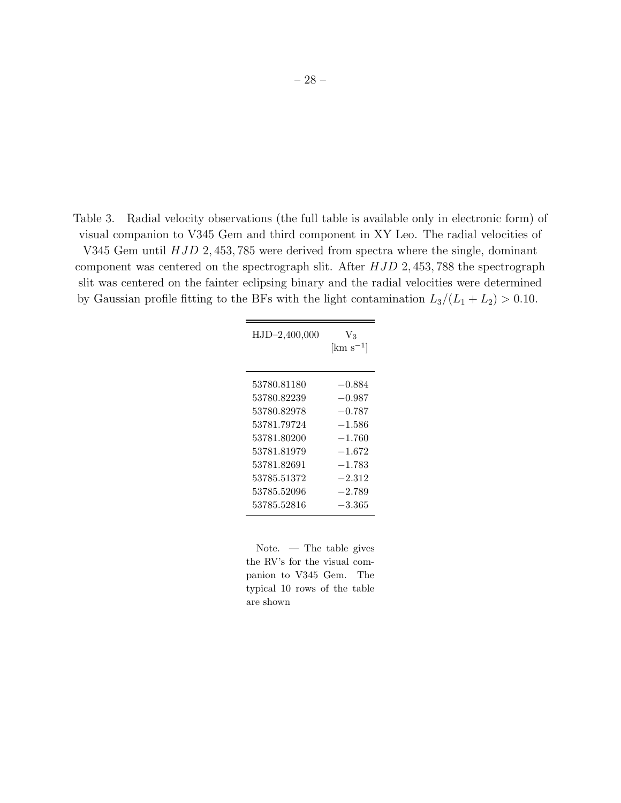Table 3. Radial velocity observations (the full table is available only in electronic form) of

visual companion to V345 Gem and third component in XY Leo. The radial velocities of V345 Gem until HJD 2, 453, 785 were derived from spectra where the single, dominant component was centered on the spectrograph slit. After HJD 2, 453, 788 the spectrograph slit was centered on the fainter eclipsing binary and the radial velocities were determined by Gaussian profile fitting to the BFs with the light contamination  $L_3/(L_1 + L_2) > 0.10$ .

| $HJD-2,400,000$ | V <sub>3</sub><br>$\rm [km~s^{-1}]$ |
|-----------------|-------------------------------------|
| 53780.81180     | $-0.884$                            |
| 53780.82239     | $-0.987$                            |
| 53780.82978     | $-0.787$                            |
| 53781.79724     | $-1.586$                            |
| 53781.80200     | $-1.760$                            |
| 53781.81979     | $-1.672$                            |
| 53781.82691     | $-1.783$                            |
| 53785.51372     | $-2.312$                            |
| 53785.52096     | $-2.789$                            |
| 53785.52816     | $-3.365\,$                          |

Note.  $-$  The table gives the RV's for the visual companion to V345 Gem. The typical 10 rows of the table are shown